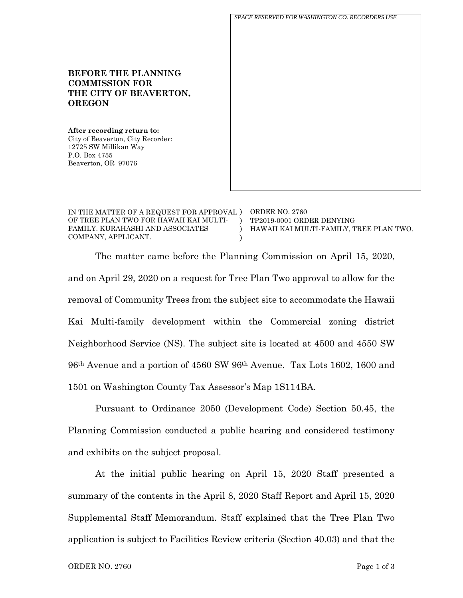

| IN THE MATTER OF A REQUEST FOR APPROVAL ) | ORDER NO. 2760                          |
|-------------------------------------------|-----------------------------------------|
| OF TREE PLAN TWO FOR HAWAII KAI MULTI-    | TP2019-0001 ORDER DENYING               |
| FAMILY. KURAHASHI AND ASSOCIATES          | HAWAII KAI MULTI-FAMILY. TREE PLAN TWO. |
| COMPANY, APPLICANT.                       |                                         |

The matter came before the Planning Commission on April 15, 2020, and on April 29, 2020 on a request for Tree Plan Two approval to allow for the removal of Community Trees from the subject site to accommodate the Hawaii Kai Multi-family development within the Commercial zoning district Neighborhood Service (NS). The subject site is located at 4500 and 4550 SW 96th Avenue and a portion of 4560 SW 96th Avenue. Tax Lots 1602, 1600 and 1501 on Washington County Tax Assessor's Map 1S114BA.

Pursuant to Ordinance 2050 (Development Code) Section 50.45, the Planning Commission conducted a public hearing and considered testimony and exhibits on the subject proposal.

At the initial public hearing on April 15, 2020 Staff presented a summary of the contents in the April 8, 2020 Staff Report and April 15, 2020 Supplemental Staff Memorandum. Staff explained that the Tree Plan Two application is subject to Facilities Review criteria (Section 40.03) and that the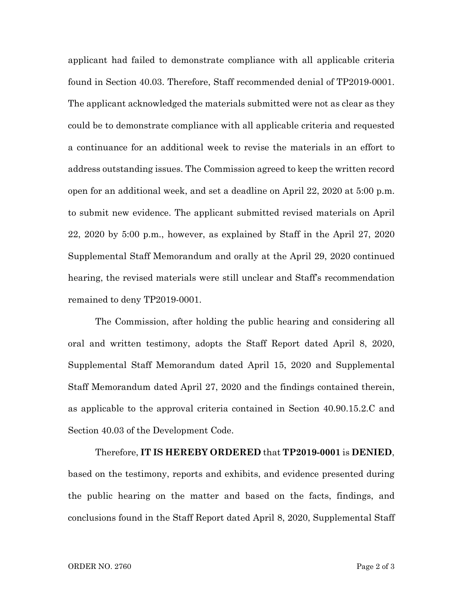applicant had failed to demonstrate compliance with all applicable criteria found in Section 40.03. Therefore, Staff recommended denial of TP2019-0001. The applicant acknowledged the materials submitted were not as clear as they could be to demonstrate compliance with all applicable criteria and requested a continuance for an additional week to revise the materials in an effort to address outstanding issues. The Commission agreed to keep the written record open for an additional week, and set a deadline on April 22, 2020 at 5:00 p.m. to submit new evidence. The applicant submitted revised materials on April 22, 2020 by 5:00 p.m., however, as explained by Staff in the April 27, 2020 Supplemental Staff Memorandum and orally at the April 29, 2020 continued hearing, the revised materials were still unclear and Staff's recommendation remained to deny TP2019-0001.

The Commission, after holding the public hearing and considering all oral and written testimony, adopts the Staff Report dated April 8, 2020, Supplemental Staff Memorandum dated April 15, 2020 and Supplemental Staff Memorandum dated April 27, 2020 and the findings contained therein, as applicable to the approval criteria contained in Section 40.90.15.2.C and Section 40.03 of the Development Code.

Therefore, **IT IS HEREBY ORDERED** that **TP2019-0001** is **DENIED**, based on the testimony, reports and exhibits, and evidence presented during the public hearing on the matter and based on the facts, findings, and conclusions found in the Staff Report dated April 8, 2020, Supplemental Staff